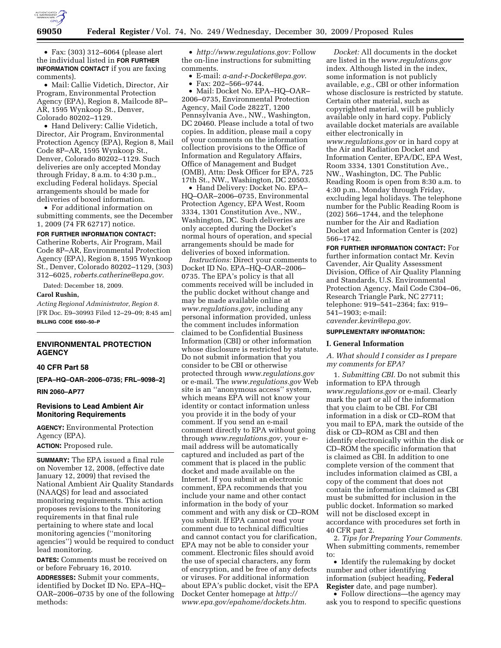

• Fax: (303) 312–6064 (please alert the individual listed in **FOR FURTHER INFORMATION CONTACT** if you are faxing comments).

• Mail: Callie Videtich, Director, Air Program, Environmental Protection Agency (EPA), Region 8, Mailcode 8P– AR, 1595 Wynkoop St., Denver, Colorado 80202–1129.

• Hand Delivery: Callie Videtich, Director, Air Program, Environmental Protection Agency (EPA), Region 8, Mail Code 8P–AR, 1595 Wynkoop St., Denver, Colorado 80202–1129. Such deliveries are only accepted Monday through Friday, 8 a.m. to 4:30 p.m., excluding Federal holidays. Special arrangements should be made for deliveries of boxed information.

• For additional information on submitting comments, see the December 1, 2009 (74 FR 62717) notice.

#### **FOR FURTHER INFORMATION CONTACT:**

Catherine Roberts, Air Program, Mail Code 8P–AR, Environmental Protection Agency (EPA), Region 8, 1595 Wynkoop St., Denver, Colorado 80202–1129, (303) 312–6025, *roberts.catherine@epa.gov*.

Dated: December 18, 2009.

### **Carol Rushin,**

*Acting Regional Administrator, Region 8.*  [FR Doc. E9–30993 Filed 12–29–09; 8:45 am] **BILLING CODE 6560–50–P** 

### **ENVIRONMENTAL PROTECTION AGENCY**

### **40 CFR Part 58**

**[EPA–HQ–OAR–2006–0735; FRL–9098–2]** 

**RIN 2060–AP77** 

# **Revisions to Lead Ambient Air Monitoring Requirements**

**AGENCY:** Environmental Protection Agency (EPA).

**ACTION:** Proposed rule.

**SUMMARY:** The EPA issued a final rule on November 12, 2008, (effective date January 12, 2009) that revised the National Ambient Air Quality Standards (NAAQS) for lead and associated monitoring requirements. This action proposes revisions to the monitoring requirements in that final rule pertaining to where state and local monitoring agencies (''monitoring agencies'') would be required to conduct lead monitoring.

**DATES:** Comments must be received on or before February 16, 2010.

**ADDRESSES:** Submit your comments, identified by Docket ID No. EPA–HQ– OAR–2006–0735 by one of the following methods:

• *http://www.regulations.gov:* Follow the on-line instructions for submitting comments.

• E-mail: *a-and-r-Docket@epa.gov*.

• Fax: 202–566–9744.

• Mail: Docket No. EPA–HQ–OAR– 2006–0735, Environmental Protection Agency, Mail Code 2822T, 1200 Pennsylvania Ave., NW., Washington, DC 20460. Please include a total of two copies. In addition, please mail a copy of your comments on the information collection provisions to the Office of Information and Regulatory Affairs, Office of Management and Budget (OMB), Attn: Desk Officer for EPA, 725 17th St., NW., Washington, DC 20503.

• Hand Delivery: Docket No. EPA– HQ–OAR–2006–0735, Environmental Protection Agency, EPA West, Room 3334, 1301 Constitution Ave., NW., Washington, DC. Such deliveries are only accepted during the Docket's normal hours of operation, and special arrangements should be made for deliveries of boxed information.

*Instructions:* Direct your comments to Docket ID No. EPA–HQ–OAR–2006– 0735. The EPA's policy is that all comments received will be included in the public docket without change and may be made available online at *www.regulations.gov*, including any personal information provided, unless the comment includes information claimed to be Confidential Business Information (CBI) or other information whose disclosure is restricted by statute. Do not submit information that you consider to be CBI or otherwise protected through *www.regulations.gov*  or e-mail. The *www.regulations.gov* Web site is an ''anonymous access'' system, which means EPA will not know your identity or contact information unless you provide it in the body of your comment. If you send an e-mail comment directly to EPA without going through *www.regulations.gov*, your email address will be automatically captured and included as part of the comment that is placed in the public docket and made available on the Internet. If you submit an electronic comment, EPA recommends that you include your name and other contact information in the body of your comment and with any disk or CD–ROM you submit. If EPA cannot read your comment due to technical difficulties and cannot contact you for clarification, EPA may not be able to consider your comment. Electronic files should avoid the use of special characters, any form of encryption, and be free of any defects or viruses. For additional information about EPA's public docket, visit the EPA Docket Center homepage at *http:// www.epa.gov/epahome/dockets.htm*.

*Docket:* All documents in the docket are listed in the *www.regulations.gov*  index. Although listed in the index, some information is not publicly available, *e.g.*, CBI or other information whose disclosure is restricted by statute. Certain other material, such as copyrighted material, will be publicly available only in hard copy. Publicly available docket materials are available either electronically in *www.regulations.gov* or in hard copy at the Air and Radiation Docket and Information Center, EPA/DC, EPA West, Room 3334, 1301 Constitution Ave., NW., Washington, DC. The Public Reading Room is open from 8:30 a.m. to 4:30 p.m., Monday through Friday, excluding legal holidays. The telephone number for the Public Reading Room is (202) 566–1744, and the telephone number for the Air and Radiation Docket and Information Center is (202) 566–1742.

**FOR FURTHER INFORMATION CONTACT:** For further information contact Mr. Kevin Cavender, Air Quality Assessment Division, Office of Air Quality Planning and Standards, U.S. Environmental Protection Agency, Mail Code C304–06, Research Triangle Park, NC 27711; telephone: 919–541–2364; fax: 919– 541–1903; e-mail:

*cavender.kevin@epa.gov*.

## **SUPPLEMENTARY INFORMATION:**

#### **I. General Information**

*A. What should I consider as I prepare my comments for EPA?* 

1. *Submitting CBI.* Do not submit this information to EPA through *www.regulations.gov* or e-mail. Clearly mark the part or all of the information that you claim to be CBI. For CBI information in a disk or CD–ROM that you mail to EPA, mark the outside of the disk or CD–ROM as CBI and then identify electronically within the disk or CD–ROM the specific information that is claimed as CBI. In addition to one complete version of the comment that includes information claimed as CBI, a copy of the comment that does not contain the information claimed as CBI must be submitted for inclusion in the public docket. Information so marked will not be disclosed except in accordance with procedures set forth in 40 CFR part 2.

2. *Tips for Preparing Your Comments.*  When submitting comments, remember to:

• Identify the rulemaking by docket number and other identifying information (subject heading, **Federal Register** date, and page number).

• Follow directions—the agency may ask you to respond to specific questions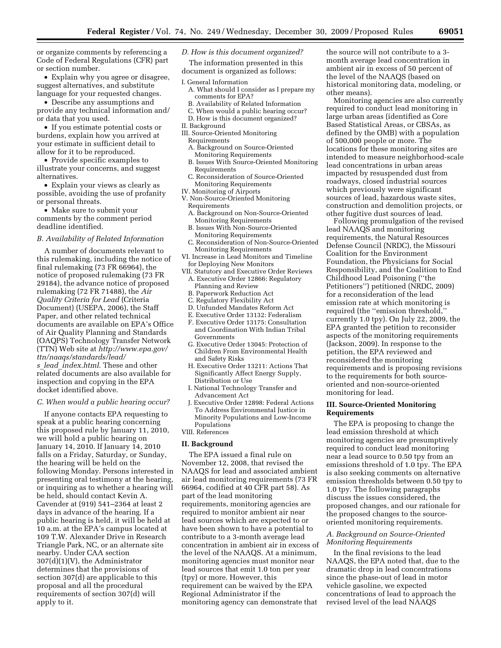or organize comments by referencing a Code of Federal Regulations (CFR) part or section number.

• Explain why you agree or disagree, suggest alternatives, and substitute language for your requested changes.

• Describe any assumptions and provide any technical information and/ or data that you used.

• If you estimate potential costs or burdens, explain how you arrived at your estimate in sufficient detail to allow for it to be reproduced.

• Provide specific examples to illustrate your concerns, and suggest alternatives.

• Explain your views as clearly as possible, avoiding the use of profanity or personal threats.

• Make sure to submit your comments by the comment period deadline identified.

#### *B. Availability of Related Information*

A number of documents relevant to this rulemaking, including the notice of final rulemaking (73 FR 66964), the notice of proposed rulemaking (73 FR 29184), the advance notice of proposed rulemaking (72 FR 71488), the *Air Quality Criteria for Lead* (Criteria Document) (USEPA, 2006), the Staff Paper, and other related technical documents are available on EPA's Office of Air Quality Planning and Standards (OAQPS) Technology Transfer Network (TTN) Web site at *http://www.epa.gov/ ttn/naaqs/standards/lead/ s*\_*lead*\_*index.html*. These and other

related documents are also available for inspection and copying in the EPA docket identified above.

#### *C. When would a public hearing occur?*

If anyone contacts EPA requesting to speak at a public hearing concerning this proposed rule by January 11, 2010, we will hold a public hearing on January 14, 2010. If January 14, 2010 falls on a Friday, Saturday, or Sunday, the hearing will be held on the following Monday. Persons interested in presenting oral testimony at the hearing, or inquiring as to whether a hearing will be held, should contact Kevin A. Cavender at (919) 541–2364 at least 2 days in advance of the hearing. If a public hearing is held, it will be held at 10 a.m. at the EPA's campus located at 109 T.W. Alexander Drive in Research Triangle Park, NC, or an alternate site nearby. Under CAA section 307(d)(1)(V), the Administrator determines that the provisions of section 307(d) are applicable to this proposal and all the procedural requirements of section 307(d) will apply to it.

#### *D. How is this document organized?*

The information presented in this document is organized as follows:

- I. General Information
	- A. What should I consider as I prepare my comments for EPA?
	- B. Availability of Related Information
	- C. When would a public hearing occur? D. How is this document organized?
- II. Background
- III. Source-Oriented Monitoring
- Requirements
- A. Background on Source-Oriented Monitoring Requirements
- B. Issues With Source-Oriented Monitoring Requirements
- C. Reconsideration of Source-Oriented Monitoring Requirements
- IV. Monitoring of Airports
- V. Non-Source-Oriented Monitoring Requirements
	- A. Background on Non-Source-Oriented Monitoring Requirements
	- B. Issues With Non-Source-Oriented Monitoring Requirements
	- C. Reconsideration of Non-Source-Oriented Monitoring Requirements
- VI. Increase in Lead Monitors and Timeline for Deploying New Monitors
- VII. Statutory and Executive Order Reviews A. Executive Order 12866: Regulatory Planning and Review
	- B. Paperwork Reduction Act
	- C. Regulatory Flexibility Act
	- D. Unfunded Mandates Reform Act
	- E. Executive Order 13132: Federalism
	- F. Executive Order 13175: Consultation and Coordination With Indian Tribal Governments
	- G. Executive Order 13045: Protection of Children From Environmental Health and Safety Risks
	- H. Executive Order 13211: Actions That Significantly Affect Energy Supply, Distribution or Use
	- I. National Technology Transfer and Advancement Act
- J. Executive Order 12898: Federal Actions To Address Environmental Justice in Minority Populations and Low-Income Populations

#### VIII. References

### **II. Background**

The EPA issued a final rule on November 12, 2008, that revised the NAAQS for lead and associated ambient air lead monitoring requirements (73 FR 66964, codified at 40 CFR part 58). As part of the lead monitoring requirements, monitoring agencies are required to monitor ambient air near lead sources which are expected to or have been shown to have a potential to contribute to a 3-month average lead concentration in ambient air in excess of the level of the NAAQS. At a minimum, monitoring agencies must monitor near lead sources that emit 1.0 ton per year (tpy) or more. However, this requirement can be waived by the EPA Regional Administrator if the monitoring agency can demonstrate that

the source will not contribute to a 3 month average lead concentration in ambient air in excess of 50 percent of the level of the NAAQS (based on historical monitoring data, modeling, or other means).

Monitoring agencies are also currently required to conduct lead monitoring in large urban areas (identified as Core Based Statistical Areas, or CBSAs, as defined by the OMB) with a population of 500,000 people or more. The locations for these monitoring sites are intended to measure neighborhood-scale lead concentrations in urban areas impacted by resuspended dust from roadways, closed industrial sources which previously were significant sources of lead, hazardous waste sites, construction and demolition projects, or other fugitive dust sources of lead.

Following promulgation of the revised lead NAAQS and monitoring requirements, the Natural Resources Defense Council (NRDC), the Missouri Coalition for the Environment Foundation, the Physicians for Social Responsibility, and the Coalition to End Childhood Lead Poisoning (''the Petitioners'') petitioned (NRDC, 2009) for a reconsideration of the lead emission rate at which monitoring is required (the ''emission threshold,'' currently 1.0 tpy). On July 22, 2009, the EPA granted the petition to reconsider aspects of the monitoring requirements (Jackson, 2009). In response to the petition, the EPA reviewed and reconsidered the monitoring requirements and is proposing revisions to the requirements for both sourceoriented and non-source-oriented monitoring for lead.

#### **III. Source-Oriented Monitoring Requirements**

The EPA is proposing to change the lead emission threshold at which monitoring agencies are presumptively required to conduct lead monitoring near a lead source to 0.50 tpy from an emissions threshold of 1.0 tpy. The EPA is also seeking comments on alternative emission thresholds between 0.50 tpy to 1.0 tpy. The following paragraphs discuss the issues considered, the proposed changes, and our rationale for the proposed changes to the sourceoriented monitoring requirements.

## *A. Background on Source-Oriented Monitoring Requirements*

In the final revisions to the lead NAAQS, the EPA noted that, due to the dramatic drop in lead concentrations since the phase-out of lead in motor vehicle gasoline, we expected concentrations of lead to approach the revised level of the lead NAAQS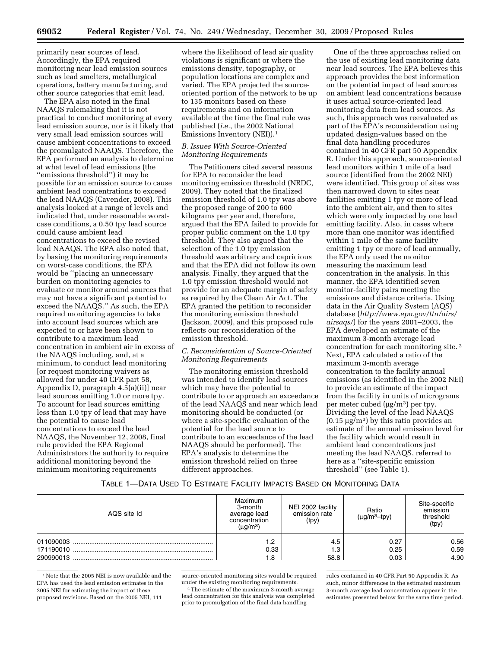primarily near sources of lead. Accordingly, the EPA required monitoring near lead emission sources such as lead smelters, metallurgical operations, battery manufacturing, and other source categories that emit lead.

The EPA also noted in the final NAAQS rulemaking that it is not practical to conduct monitoring at every lead emission source, nor is it likely that very small lead emission sources will cause ambient concentrations to exceed the promulgated NAAQS. Therefore, the EPA performed an analysis to determine at what level of lead emissions (the ''emissions threshold'') it may be possible for an emission source to cause ambient lead concentrations to exceed the lead NAAQS (Cavender, 2008). This analysis looked at a range of levels and indicated that, under reasonable worstcase conditions, a 0.50 tpy lead source could cause ambient lead concentrations to exceed the revised lead NAAQS. The EPA also noted that, by basing the monitoring requirements on worst-case conditions, the EPA would be ''placing an unnecessary burden on monitoring agencies to evaluate or monitor around sources that may not have a significant potential to exceed the NAAQS.'' As such, the EPA required monitoring agencies to take into account lead sources which are expected to or have been shown to contribute to a maximum lead concentration in ambient air in excess of the NAAQS including, and, at a minimum, to conduct lead monitoring [or request monitoring waivers as allowed for under 40 CFR part 58, Appendix D, paragraph 4.5(a)(ii)] near lead sources emitting 1.0 or more tpy. To account for lead sources emitting less than 1.0 tpy of lead that may have the potential to cause lead concentrations to exceed the lead NAAQS, the November 12, 2008, final rule provided the EPA Regional Administrators the authority to require additional monitoring beyond the minimum monitoring requirements

where the likelihood of lead air quality violations is significant or where the emissions density, topography, or population locations are complex and varied. The EPA projected the sourceoriented portion of the network to be up to 135 monitors based on these requirements and on information available at the time the final rule was published (*i.e.*, the 2002 National Emissions Inventory (NEI)).1

### *B. Issues With Source-Oriented Monitoring Requirements*

The Petitioners cited several reasons for EPA to reconsider the lead monitoring emission threshold (NRDC, 2009). They noted that the finalized emission threshold of 1.0 tpy was above the proposed range of 200 to 600 kilograms per year and, therefore, argued that the EPA failed to provide for proper public comment on the 1.0 tpy threshold. They also argued that the selection of the 1.0 tpy emission threshold was arbitrary and capricious and that the EPA did not follow its own analysis. Finally, they argued that the 1.0 tpy emission threshold would not provide for an adequate margin of safety as required by the Clean Air Act. The EPA granted the petition to reconsider the monitoring emission threshold (Jackson, 2009), and this proposed rule reflects our reconsideration of the emission threshold.

### *C. Reconsideration of Source-Oriented Monitoring Requirements*

The monitoring emission threshold was intended to identify lead sources which may have the potential to contribute to or approach an exceedance of the lead NAAQS and near which lead monitoring should be conducted (or where a site-specific evaluation of the potential for the lead source to contribute to an exceedance of the lead NAAQS should be performed). The EPA's analysis to determine the emission threshold relied on three different approaches.

One of the three approaches relied on the use of existing lead monitoring data near lead sources. The EPA believes this approach provides the best information on the potential impact of lead sources on ambient lead concentrations because it uses actual source-oriented lead monitoring data from lead sources. As such, this approach was reevaluated as part of the EPA's reconsideration using updated design-values based on the final data handling procedures contained in 40 CFR part 50 Appendix R. Under this approach, source-oriented lead monitors within 1 mile of a lead source (identified from the 2002 NEI) were identified. This group of sites was then narrowed down to sites near facilities emitting 1 tpy or more of lead into the ambient air, and then to sites which were only impacted by one lead emitting facility. Also, in cases where more than one monitor was identified within 1 mile of the same facility emitting 1 tpy or more of lead annually, the EPA only used the monitor measuring the maximum lead concentration in the analysis. In this manner, the EPA identified seven monitor-facility pairs meeting the emissions and distance criteria. Using data in the Air Quality System (AQS) database (*http://www.epa.gov/ttn/airs/ airsaqs/*) for the years 2001–2003, the EPA developed an estimate of the maximum 3-month average lead concentration for each monitoring site. 2 Next, EPA calculated a ratio of the maximum 3-month average concentration to the facility annual emissions (as identified in the 2002 NEI) to provide an estimate of the impact from the facility in units of micrograms per meter cubed (μg/m3) per tpy. Dividing the level of the lead NAAQS  $(0.15 \,\mathrm{\mu g/m^3})$  by this ratio provides an estimate of the annual emission level for the facility which would result in ambient lead concentrations just meeting the lead NAAQS, referred to here as a ''site-specific emission threshold'' (see Table 1).

### TABLE 1—DATA USED TO ESTIMATE FACILITY IMPACTS BASED ON MONITORING DATA

| AQS site Id                         | Maximum<br>3-month<br>average lead<br>concentration<br>(µg/m <sup>3</sup> ) | NEI 2002 facility<br>emission rate<br>(tpy) | Ratio<br>$(µq/m3-tpv)$ | Site-specific<br>emission<br>threshold<br>(tpy) |
|-------------------------------------|-----------------------------------------------------------------------------|---------------------------------------------|------------------------|-------------------------------------------------|
| 011090003<br>171190010<br>290990013 | 1.2<br>0.33<br>1.8                                                          | 4.5<br>1.3<br>58.8                          | 0.27<br>0.25<br>0.03   | 0.56<br>0.59<br>4.90                            |

<sup>1</sup> Note that the 2005 NEI is now available and the EPA has used the lead emission estimates in the 2005 NEI for estimating the impact of these proposed revisions. Based on the 2005 NEI, 111

source-oriented monitoring sites would be required under the existing monitoring requirements.

<sup>2</sup>The estimate of the maximum 3-month average lead concentration for this analysis was completed prior to promulgation of the final data handling

rules contained in 40 CFR Part 50 Appendix R. As such, minor differences in the estimated maximum 3-month average lead concentration appear in the estimates presented below for the same time period.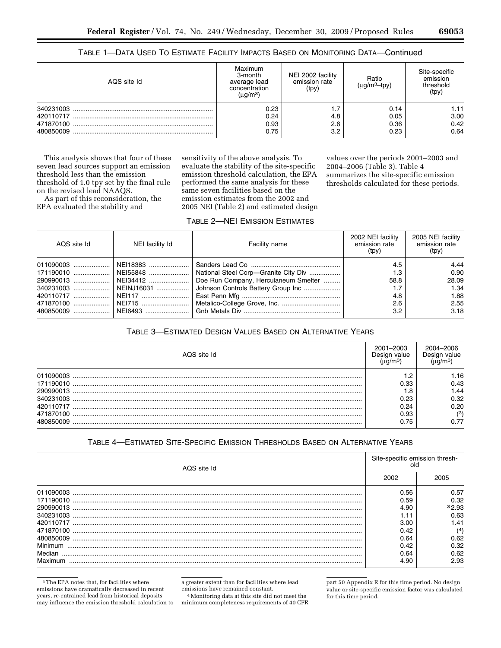# TABLE 1—DATA USED TO ESTIMATE FACILITY IMPACTS BASED ON MONITORING DATA—Continued

| AQS site Id | Maximum<br>3-month<br>average lead<br>concentration<br>(µg/m <sup>3</sup> ) | NEI 2002 facility<br>emission rate<br>(tpy) | Ratio<br>(ua/m <sup>3</sup> —tpv) | Site-specific<br>emission<br>threshold<br>(tpy) |
|-------------|-----------------------------------------------------------------------------|---------------------------------------------|-----------------------------------|-------------------------------------------------|
| 340231003   | 0.23                                                                        | 1.7                                         | 0.14                              | 1.11                                            |
| 420110717   | 0.24                                                                        | 4.8                                         | 0.05                              | 3.00                                            |
| 471870100   | 0.93                                                                        | 2.6                                         | 0.36                              | 0.42                                            |
| 480850009   | 0.75                                                                        | 3.2                                         | 0.23                              | 0.64                                            |

This analysis shows that four of these seven lead sources support an emission threshold less than the emission threshold of 1.0 tpy set by the final rule on the revised lead NAAQS.

As part of this reconsideration, the EPA evaluated the stability and

sensitivity of the above analysis. To evaluate the stability of the site-specific emission threshold calculation, the EPA performed the same analysis for these same seven facilities based on the emission estimates from the 2002 and 2005 NEI (Table 2) and estimated design values over the periods 2001–2003 and 2004–2006 (Table 3). Table 4 summarizes the site-specific emission thresholds calculated for these periods.

# TABLE 2—NEI EMISSION ESTIMATES

| AQS site Id | NEI facility Id | Facility name                                                 | 2002 NEI facility<br>emission rate<br>(tpy) | 2005 NEI facility<br>emission rate<br>(tpy) |
|-------------|-----------------|---------------------------------------------------------------|---------------------------------------------|---------------------------------------------|
|             |                 |                                                               | 4.5                                         | 4.44                                        |
|             |                 | 171190010    NEI55848    National Steel Corp—Granite City Div | 1.3                                         | 0.90                                        |
|             |                 | Doe Run Company, Herculaneum Smelter                          | 58.8                                        | 28.09                                       |
|             |                 |                                                               | 1.7                                         | 1.34                                        |
|             |                 |                                                               | 4.8                                         | 1.88                                        |
|             |                 |                                                               | 2.6                                         | 2.55                                        |
|             |                 |                                                               | 3.2                                         | 3.18                                        |

# TABLE 3—ESTIMATED DESIGN VALUES BASED ON ALTERNATIVE YEARS

| AQS site Id | 2001-2003<br>Desian value | 2004–2006<br>Jesiai |
|-------------|---------------------------|---------------------|
| 011090003   |                           | l.16                |
| 171190010   | 0.33                      | 0.43                |
| 290990013   |                           | 44. ا               |
| 340231003   | 0.23                      | 0.32                |
| 420110717   | በ 24                      | 0.20                |
| 471870100   | 0.93                      | (3)                 |
|             | 0.75                      |                     |

# TABLE 4—ESTIMATED SITE-SPECIFIC EMISSION THRESHOLDS BASED ON ALTERNATIVE YEARS

| AQS site Id | Site-specific emission thresh-<br>old |       |
|-------------|---------------------------------------|-------|
|             | 2002                                  | 2005  |
| 011090003   | 0.56                                  | 0.57  |
| 171190010   | 0.59                                  | 0.32  |
| 290990013   | 4.90                                  | 32.93 |
| 340231003   |                                       | 0.63  |
| 420110717   | 3.00                                  | 1.41  |
| 471870100   | 0.42                                  | (4)   |
| 480850009   | 0.64                                  | 0.62  |
| Minimum     | 0.42                                  | 0.32  |
| Median      | 0.64                                  | 0.62  |
| Maximum     | 4.90                                  | 2.93  |

3The EPA notes that, for facilities where emissions have dramatically decreased in recent years, re-entrained lead from historical deposits may influence the emission threshold calculation to a greater extent than for facilities where lead

emissions have remained constant. 4Monitoring data at this site did not meet the minimum completeness requirements of 40 CFR part 50 Appendix R for this time period. No design value or site-specific emission factor was calculated for this time period.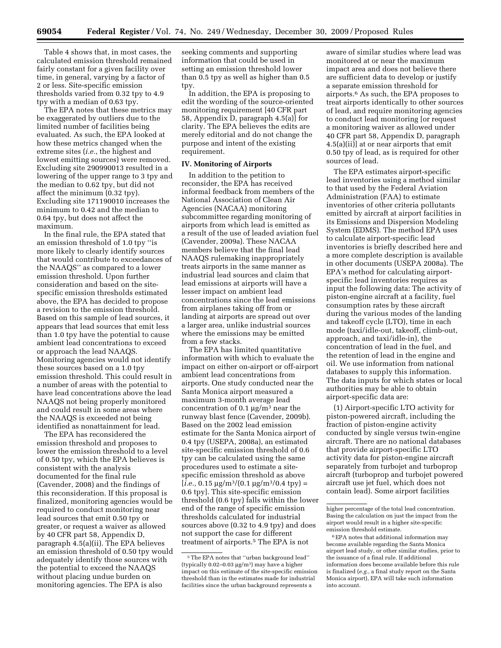Table 4 shows that, in most cases, the calculated emission threshold remained fairly constant for a given facility over time, in general, varying by a factor of 2 or less. Site-specific emission thresholds varied from 0.32 tpy to 4.9 tpy with a median of 0.63 tpy.

The EPA notes that these metrics may be exaggerated by outliers due to the limited number of facilities being evaluated. As such, the EPA looked at how these metrics changed when the extreme sites (*i.e.*, the highest and lowest emitting sources) were removed. Excluding site 290990013 resulted in a lowering of the upper range to 3 tpy and the median to 0.62 tpy, but did not affect the minimum (0.32 tpy). Excluding site 171190010 increases the minimum to 0.42 and the median to 0.64 tpy, but does not affect the maximum.

In the final rule, the EPA stated that an emission threshold of 1.0 tpy ''is more likely to clearly identify sources that would contribute to exceedances of the NAAQS'' as compared to a lower emission threshold. Upon further consideration and based on the sitespecific emission thresholds estimated above, the EPA has decided to propose a revision to the emission threshold. Based on this sample of lead sources, it appears that lead sources that emit less than 1.0 tpy have the potential to cause ambient lead concentrations to exceed or approach the lead NAAQS. Monitoring agencies would not identify these sources based on a 1.0 tpy emission threshold. This could result in a number of areas with the potential to have lead concentrations above the lead NAAQS not being properly monitored and could result in some areas where the NAAQS is exceeded not being identified as nonattainment for lead.

The EPA has reconsidered the emission threshold and proposes to lower the emission threshold to a level of 0.50 tpy, which the EPA believes is consistent with the analysis documented for the final rule (Cavender, 2008) and the findings of this reconsideration. If this proposal is finalized, monitoring agencies would be required to conduct monitoring near lead sources that emit 0.50 tpy or greater, or request a waiver as allowed by 40 CFR part 58, Appendix D, paragraph 4.5(a)(ii). The EPA believes an emission threshold of 0.50 tpy would adequately identify those sources with the potential to exceed the NAAQS without placing undue burden on monitoring agencies. The EPA is also

seeking comments and supporting information that could be used in setting an emission threshold lower than 0.5 tpy as well as higher than 0.5 tpy.

In addition, the EPA is proposing to edit the wording of the source-oriented monitoring requirement [40 CFR part 58, Appendix D, paragraph 4.5(a)] for clarity. The EPA believes the edits are merely editorial and do not change the purpose and intent of the existing requirement.

#### **IV. Monitoring of Airports**

In addition to the petition to reconsider, the EPA has received informal feedback from members of the National Association of Clean Air Agencies (NACAA) monitoring subcommittee regarding monitoring of airports from which lead is emitted as a result of the use of leaded aviation fuel (Cavender, 2009a). These NACAA members believe that the final lead NAAQS rulemaking inappropriately treats airports in the same manner as industrial lead sources and claim that lead emissions at airports will have a lesser impact on ambient lead concentrations since the lead emissions from airplanes taking off from or landing at airports are spread out over a larger area, unlike industrial sources where the emissions may be emitted from a few stacks.

The EPA has limited quantitative information with which to evaluate the impact on either on-airport or off-airport ambient lead concentrations from airports. One study conducted near the Santa Monica airport measured a maximum 3-month average lead concentration of  $0.1 \mu g/m^3$  near the runway blast fence (Cavender, 2009b). Based on the 2002 lead emission estimate for the Santa Monica airport of 0.4 tpy (USEPA, 2008a), an estimated site-specific emission threshold of 0.6 tpy can be calculated using the same procedures used to estimate a sitespecific emission threshold as above  $[i.e., 0.15 \mu g/m^3/(0.1 \mu g/m^3/0.4 \text{ typ})$  = 0.6 tpy]. This site-specific emission threshold (0.6 tpy) falls within the lower end of the range of specific emission thresholds calculated for industrial sources above (0.32 to 4.9 tpy) and does not support the case for different treatment of airports.5 The EPA is not

aware of similar studies where lead was monitored at or near the maximum impact area and does not believe there are sufficient data to develop or justify a separate emission threshold for airports.6 As such, the EPA proposes to treat airports identically to other sources of lead, and require monitoring agencies to conduct lead monitoring [or request a monitoring waiver as allowed under 40 CFR part 58, Appendix D, paragraph 4.5(a)(ii)] at or near airports that emit 0.50 tpy of lead, as is required for other sources of lead.

The EPA estimates airport-specific lead inventories using a method similar to that used by the Federal Aviation Administration (FAA) to estimate inventories of other criteria pollutants emitted by aircraft at airport facilities in its Emissions and Dispersion Modeling System (EDMS). The method EPA uses to calculate airport-specific lead inventories is briefly described here and a more complete description is available in other documents (USEPA 2008a). The EPA's method for calculating airportspecific lead inventories requires as input the following data: The activity of piston-engine aircraft at a facility, fuel consumption rates by these aircraft during the various modes of the landing and takeoff cycle (LTO), time in each mode (taxi/idle-out, takeoff, climb-out, approach, and taxi/idle-in), the concentration of lead in the fuel, and the retention of lead in the engine and oil. We use information from national databases to supply this information. The data inputs for which states or local authorities may be able to obtain airport-specific data are:

(1) Airport-specific LTO activity for piston-powered aircraft, including the fraction of piston-engine activity conducted by single versus twin-engine aircraft. There are no national databases that provide airport-specific LTO activity data for piston-engine aircraft separately from turbojet and turboprop aircraft (turboprop and turbojet powered aircraft use jet fuel, which does not contain lead). Some airport facilities

<sup>5</sup>The EPA notes that ''urban background lead'' (typically  $0.02-0.03 \mu g/m^3$ ) may have a higher impact on this estimate of the site-specific emission threshold than in the estimates made for industrial facilities since the urban background represents a

higher percentage of the total lead concentration. Basing the calculation on just the impact from the airport would result in a higher site-specific emission threshold estimate.

<sup>6</sup>EPA notes that additional information may become available regarding the Santa Monica airport lead study, or other similar studies, prior to the issuance of a final rule. If additional information does become available before this rule is finalized (*e.g.,* a final study report on the Santa Monica airport), EPA will take such information into account.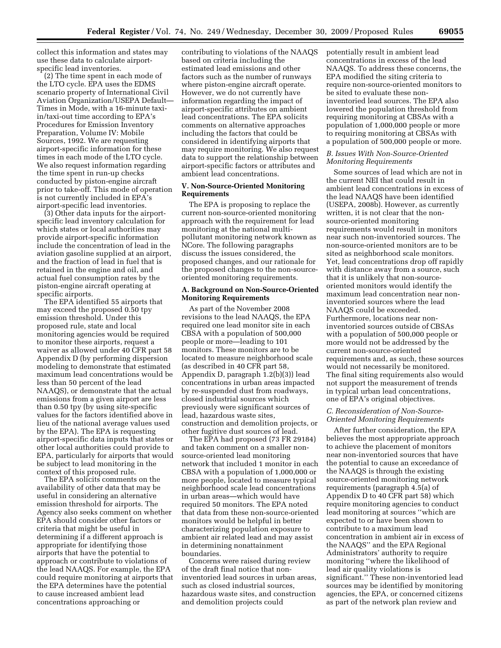collect this information and states may use these data to calculate airportspecific lead inventories.

(2) The time spent in each mode of the LTO cycle. EPA uses the EDMS scenario property of International Civil Aviation Organization/USEPA Default— Times in Mode, with a 16-minute taxiin/taxi-out time according to EPA's Procedures for Emission Inventory Preparation, Volume IV: Mobile Sources, 1992. We are requesting airport-specific information for these times in each mode of the LTO cycle. We also request information regarding the time spent in run-up checks conducted by piston-engine aircraft prior to take-off. This mode of operation is not currently included in EPA's airport-specific lead inventories.

(3) Other data inputs for the airportspecific lead inventory calculation for which states or local authorities may provide airport-specific information include the concentration of lead in the aviation gasoline supplied at an airport, and the fraction of lead in fuel that is retained in the engine and oil, and actual fuel consumption rates by the piston-engine aircraft operating at specific airports.

The EPA identified 55 airports that may exceed the proposed 0.50 tpy emission threshold. Under this proposed rule, state and local monitoring agencies would be required to monitor these airports, request a waiver as allowed under 40 CFR part 58 Appendix D (by performing dispersion modeling to demonstrate that estimated maximum lead concentrations would be less than 50 percent of the lead NAAQS), or demonstrate that the actual emissions from a given airport are less than 0.50 tpy (by using site-specific values for the factors identified above in lieu of the national average values used by the EPA). The EPA is requesting airport-specific data inputs that states or other local authorities could provide to EPA, particularly for airports that would be subject to lead monitoring in the context of this proposed rule.

The EPA solicits comments on the availability of other data that may be useful in considering an alternative emission threshold for airports. The Agency also seeks comment on whether EPA should consider other factors or criteria that might be useful in determining if a different approach is appropriate for identifying those airports that have the potential to approach or contribute to violations of the lead NAAQS. For example, the EPA could require monitoring at airports that the EPA determines have the potential to cause increased ambient lead concentrations approaching or

contributing to violations of the NAAQS based on criteria including the estimated lead emissions and other factors such as the number of runways where piston-engine aircraft operate. However, we do not currently have information regarding the impact of airport-specific attributes on ambient lead concentrations. The EPA solicits comments on alternative approaches including the factors that could be considered in identifying airports that may require monitoring. We also request data to support the relationship between airport-specific factors or attributes and ambient lead concentrations.

## **V. Non-Source-Oriented Monitoring Requirements**

The EPA is proposing to replace the current non-source-oriented monitoring approach with the requirement for lead monitoring at the national multipollutant monitoring network known as NCore. The following paragraphs discuss the issues considered, the proposed changes, and our rationale for the proposed changes to the non-sourceoriented monitoring requirements.

### **A. Background on Non-Source-Oriented Monitoring Requirements**

As part of the November 2008 revisions to the lead NAAQS, the EPA required one lead monitor site in each CBSA with a population of 500,000 people or more—leading to 101 monitors. These monitors are to be located to measure neighborhood scale (as described in 40 CFR part 58, Appendix D, paragraph 1.2(b)(3)) lead concentrations in urban areas impacted by re-suspended dust from roadways, closed industrial sources which previously were significant sources of lead, hazardous waste sites, construction and demolition projects, or other fugitive dust sources of lead.

The EPA had proposed (73 FR 29184) and taken comment on a smaller nonsource-oriented lead monitoring network that included 1 monitor in each CBSA with a population of 1,000,000 or more people, located to measure typical neighborhood scale lead concentrations in urban areas—which would have required 50 monitors. The EPA noted that data from these non-source-oriented monitors would be helpful in better characterizing population exposure to ambient air related lead and may assist in determining nonattainment boundaries.

Concerns were raised during review of the draft final notice that noninventoried lead sources in urban areas, such as closed industrial sources, hazardous waste sites, and construction and demolition projects could

potentially result in ambient lead concentrations in excess of the lead NAAQS. To address these concerns, the EPA modified the siting criteria to require non-source-oriented monitors to be sited to evaluate these noninventoried lead sources. The EPA also lowered the population threshold from requiring monitoring at CBSAs with a population of 1,000,000 people or more to requiring monitoring at CBSAs with a population of 500,000 people or more.

### *B. Issues With Non-Source-Oriented Monitoring Requirements*

Some sources of lead which are not in the current NEI that could result in ambient lead concentrations in excess of the lead NAAQS have been identified (USEPA, 2008b). However, as currently written, it is not clear that the nonsource-oriented monitoring requirements would result in monitors near such non-inventoried sources. The non-source-oriented monitors are to be sited as neighborhood scale monitors. Yet, lead concentrations drop off rapidly with distance away from a source, such that it is unlikely that non-sourceoriented monitors would identify the maximum lead concentration near noninventoried sources where the lead NAAQS could be exceeded. Furthermore, locations near noninventoried sources outside of CBSAs with a population of 500,000 people or more would not be addressed by the current non-source-oriented requirements and, as such, these sources would not necessarily be monitored. The final siting requirements also would not support the measurement of trends in typical urban lead concentrations, one of EPA's original objectives.

## *C. Reconsideration of Non-Source-Oriented Monitoring Requirements*

After further consideration, the EPA believes the most appropriate approach to achieve the placement of monitors near non-inventoried sources that have the potential to cause an exceedance of the NAAQS is through the existing source-oriented monitoring network requirements (paragraph 4.5(a) of Appendix D to 40 CFR part 58) which require monitoring agencies to conduct lead monitoring at sources ''which are expected to or have been shown to contribute to a maximum lead concentration in ambient air in excess of the NAAQS'' and the EPA Regional Administrators' authority to require monitoring ''where the likelihood of lead air quality violations is significant.'' These non-inventoried lead sources may be identified by monitoring agencies, the EPA, or concerned citizens as part of the network plan review and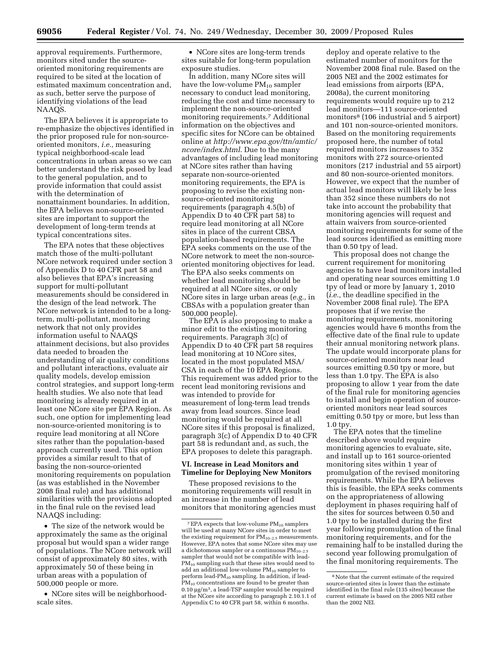approval requirements. Furthermore, monitors sited under the sourceoriented monitoring requirements are required to be sited at the location of estimated maximum concentration and, as such, better serve the purpose of identifying violations of the lead NAAQS.

The EPA believes it is appropriate to re-emphasize the objectives identified in the prior proposed rule for non-sourceoriented monitors, *i.e.,* measuring typical neighborhood-scale lead concentrations in urban areas so we can better understand the risk posed by lead to the general population, and to provide information that could assist with the determination of nonattainment boundaries. In addition, the EPA believes non-source-oriented sites are important to support the development of long-term trends at typical concentrations sites.

The EPA notes that these objectives match those of the multi-pollutant NCore network required under section 3 of Appendix D to 40 CFR part 58 and also believes that EPA's increasing support for multi-pollutant measurements should be considered in the design of the lead network. The NCore network is intended to be a longterm, multi-pollutant, monitoring network that not only provides information useful to NAAQS attainment decisions, but also provides data needed to broaden the understanding of air quality conditions and pollutant interactions, evaluate air quality models, develop emission control strategies, and support long-term health studies. We also note that lead monitoring is already required in at least one NCore site per EPA Region. As such, one option for implementing lead non-source-oriented monitoring is to require lead monitoring at all NCore sites rather than the population-based approach currently used. This option provides a similar result to that of basing the non-source-oriented monitoring requirements on population (as was established in the November 2008 final rule) and has additional similarities with the provisions adopted in the final rule on the revised lead NAAQS including:

• The size of the network would be approximately the same as the original proposal but would span a wider range of populations. The NCore network will consist of approximately 80 sites, with approximately 50 of these being in urban areas with a population of 500,000 people or more.

• NCore sites will be neighborhoodscale sites.

• NCore sites are long-term trends sites suitable for long-term population exposure studies.

In addition, many NCore sites will have the low-volume  $PM_{10}$  sampler necessary to conduct lead monitoring, reducing the cost and time necessary to implement the non-source-oriented monitoring requirements.7 Additional information on the objectives and specific sites for NCore can be obtained online at *http://www.epa.gov/ttn/amtic/ ncore/index.html*. Due to the many advantages of including lead monitoring at NCore sites rather than having separate non-source-oriented monitoring requirements, the EPA is proposing to revise the existing nonsource-oriented monitoring requirements (paragraph 4.5(b) of Appendix D to 40 CFR part 58) to require lead monitoring at all NCore sites in place of the current CBSA population-based requirements. The EPA seeks comments on the use of the NCore network to meet the non-sourceoriented monitoring objectives for lead. The EPA also seeks comments on whether lead monitoring should be required at all NCore sites, or only NCore sites in large urban areas (*e.g.,* in CBSAs with a population greater than 500,000 people).

The EPA is also proposing to make a minor edit to the existing monitoring requirements. Paragraph 3(c) of Appendix D to 40 CFR part 58 requires lead monitoring at 10 NCore sites, located in the most populated MSA/ CSA in each of the 10 EPA Regions. This requirement was added prior to the recent lead monitoring revisions and was intended to provide for measurement of long-term lead trends away from lead sources. Since lead monitoring would be required at all NCore sites if this proposal is finalized, paragraph 3(c) of Appendix D to 40 CFR part 58 is redundant and, as such, the EPA proposes to delete this paragraph.

## **VI. Increase in Lead Monitors and Timeline for Deploying New Monitors**

These proposed revisions to the monitoring requirements will result in an increase in the number of lead monitors that monitoring agencies must

deploy and operate relative to the estimated number of monitors for the November 2008 final rule. Based on the 2005 NEI and the 2002 estimates for lead emissions from airports (EPA, 2008a), the current monitoring requirements would require up to 212 lead monitors—111 source-oriented monitors8 (106 industrial and 5 airport) and 101 non-source-oriented monitors. Based on the monitoring requirements proposed here, the number of total required monitors increases to 352 monitors with 272 source-oriented monitors (217 industrial and 55 airport) and 80 non-source-oriented monitors. However, we expect that the number of actual lead monitors will likely be less than 352 since these numbers do not take into account the probability that monitoring agencies will request and attain waivers from source-oriented monitoring requirements for some of the lead sources identified as emitting more than 0.50 tpy of lead.

This proposal does not change the current requirement for monitoring agencies to have lead monitors installed and operating near sources emitting 1.0 tpy of lead or more by January 1, 2010 (*i.e.,* the deadline specified in the November 2008 final rule). The EPA proposes that if we revise the monitoring requirements, monitoring agencies would have 6 months from the effective date of the final rule to update their annual monitoring network plans. The update would incorporate plans for source-oriented monitors near lead sources emitting 0.50 tpy or more, but less than 1.0 tpy. The EPA is also proposing to allow 1 year from the date of the final rule for monitoring agencies to install and begin operation of sourceoriented monitors near lead sources emitting 0.50 tpy or more, but less than 1.0 tpy.

The EPA notes that the timeline described above would require monitoring agencies to evaluate, site, and install up to 161 source-oriented monitoring sites within 1 year of promulgation of the revised monitoring requirements. While the EPA believes this is feasible, the EPA seeks comments on the appropriateness of allowing deployment in phases requiring half of the sites for sources between 0.50 and 1.0 tpy to be installed during the first year following promulgation of the final monitoring requirements, and for the remaining half to be installed during the second year following promulgation of the final monitoring requirements. The

 $^7\rm{EPA}$  expects that low-volume  $\rm{PM_{10}}$  samplers will be used at many NCore sites in order to meet the existing requirement for  $PM_{10-2.5}$  measurements. However, EPA notes that some NCore sites may use a dichotomous sampler or a continuous  $PM_{10-2.5}$ sampler that would not be compatible with lead- $PM_{10}$  sampling such that these sites would need to add an additional low-volume PM10 sampler to perform lead-PM10 sampling. In addition, if lead- $PM_{10}$  concentrations are found to be greater than 0.10 μg/m3, a lead-TSP sampler would be required at the NCore site according to paragraph 2.10.1.1 of Appendix C to 40 CFR part 58, within 6 months.

<sup>8</sup>Note that the current estimate of the required source-oriented sites is lower than the estimate identified in the final rule (135 sites) because the current estimate is based on the 2005 NEI rather than the 2002 NEI.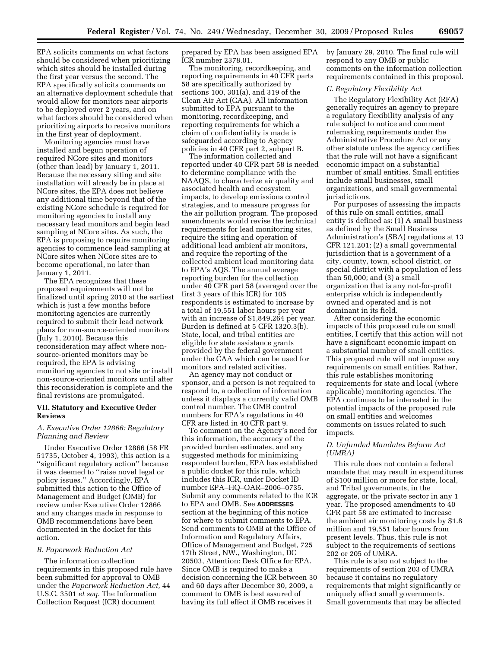EPA solicits comments on what factors should be considered when prioritizing which sites should be installed during the first year versus the second. The EPA specifically solicits comments on an alternative deployment schedule that would allow for monitors near airports to be deployed over 2 years, and on what factors should be considered when prioritizing airports to receive monitors in the first year of deployment.

Monitoring agencies must have installed and begun operation of required NCore sites and monitors (other than lead) by January 1, 2011. Because the necessary siting and site installation will already be in place at NCore sites, the EPA does not believe any additional time beyond that of the existing NCore schedule is required for monitoring agencies to install any necessary lead monitors and begin lead sampling at NCore sites. As such, the EPA is proposing to require monitoring agencies to commence lead sampling at NCore sites when NCore sites are to become operational, no later than January 1, 2011.

The EPA recognizes that these proposed requirements will not be finalized until spring 2010 at the earliest which is just a few months before monitoring agencies are currently required to submit their lead network plans for non-source-oriented monitors (July 1, 2010). Because this reconsideration may affect where nonsource-oriented monitors may be required, the EPA is advising monitoring agencies to not site or install non-source-oriented monitors until after this reconsideration is complete and the final revisions are promulgated.

### **VII. Statutory and Executive Order Reviews**

### *A. Executive Order 12866: Regulatory Planning and Review*

Under Executive Order 12866 (58 FR 51735, October 4, 1993), this action is a ''significant regulatory action'' because it was deemed to ''raise novel legal or policy issues.'' Accordingly, EPA submitted this action to the Office of Management and Budget (OMB) for review under Executive Order 12866 and any changes made in response to OMB recommendations have been documented in the docket for this action.

#### *B. Paperwork Reduction Act*

The information collection requirements in this proposed rule have been submitted for approval to OMB under the *Paperwork Reduction Act,* 44 U.S.C. 3501 *et seq.* The Information Collection Request (ICR) document

prepared by EPA has been assigned EPA ICR number 2378.01.

The monitoring, recordkeeping, and reporting requirements in 40 CFR parts 58 are specifically authorized by sections 100, 301(a), and 319 of the Clean Air Act (CAA). All information submitted to EPA pursuant to the monitoring, recordkeeping, and reporting requirements for which a claim of confidentiality is made is safeguarded according to Agency policies in 40 CFR part 2, subpart B.

The information collected and reported under 40 CFR part 58 is needed to determine compliance with the NAAQS, to characterize air quality and associated health and ecosystem impacts, to develop emissions control strategies, and to measure progress for the air pollution program. The proposed amendments would revise the technical requirements for lead monitoring sites, require the siting and operation of additional lead ambient air monitors, and require the reporting of the collected ambient lead monitoring data to EPA's AQS. The annual average reporting burden for the collection under 40 CFR part 58 (averaged over the first 3 years of this ICR) for 105 respondents is estimated to increase by a total of 19,551 labor hours per year with an increase of \$1,849,264 per year. Burden is defined at 5 CFR 1320.3(b). State, local, and tribal entities are eligible for state assistance grants provided by the federal government under the CAA which can be used for monitors and related activities.

An agency may not conduct or sponsor, and a person is not required to respond to, a collection of information unless it displays a currently valid OMB control number. The OMB control numbers for EPA's regulations in 40 CFR are listed in 40 CFR part 9.

To comment on the Agency's need for this information, the accuracy of the provided burden estimates, and any suggested methods for minimizing respondent burden, EPA has established a public docket for this rule, which includes this ICR, under Docket ID number EPA–HQ–OAR–2006–0735. Submit any comments related to the ICR to EPA and OMB. See **ADDRESSES** section at the beginning of this notice for where to submit comments to EPA. Send comments to OMB at the Office of Information and Regulatory Affairs, Office of Management and Budget, 725 17th Street, NW., Washington, DC 20503, Attention: Desk Office for EPA. Since OMB is required to make a decision concerning the ICR between 30 and 60 days after December 30, 2009, a comment to OMB is best assured of having its full effect if OMB receives it

by January 29, 2010. The final rule will respond to any OMB or public comments on the information collection requirements contained in this proposal.

### *C. Regulatory Flexibility Act*

The Regulatory Flexibility Act (RFA) generally requires an agency to prepare a regulatory flexibility analysis of any rule subject to notice and comment rulemaking requirements under the Administrative Procedure Act or any other statute unless the agency certifies that the rule will not have a significant economic impact on a substantial number of small entities. Small entities include small businesses, small organizations, and small governmental jurisdictions.

For purposes of assessing the impacts of this rule on small entities, small entity is defined as: (1) A small business as defined by the Small Business Administration's (SBA) regulations at 13 CFR 121.201; (2) a small governmental jurisdiction that is a government of a city, county, town, school district, or special district with a population of less than 50,000; and (3) a small organization that is any not-for-profit enterprise which is independently owned and operated and is not dominant in its field.

After considering the economic impacts of this proposed rule on small entities, I certify that this action will not have a significant economic impact on a substantial number of small entities. This proposed rule will not impose any requirements on small entities. Rather, this rule establishes monitoring requirements for state and local (where applicable) monitoring agencies. The EPA continues to be interested in the potential impacts of the proposed rule on small entities and welcomes comments on issues related to such impacts.

### *D. Unfunded Mandates Reform Act (UMRA)*

This rule does not contain a federal mandate that may result in expenditures of \$100 million or more for state, local, and Tribal governments, in the aggregate, or the private sector in any 1 year. The proposed amendments to 40 CFR part 58 are estimated to increase the ambient air monitoring costs by \$1.8 million and 19,551 labor hours from present levels. Thus, this rule is not subject to the requirements of sections 202 or 205 of UMRA.

This rule is also not subject to the requirements of section 203 of UMRA because it contains no regulatory requirements that might significantly or uniquely affect small governments. Small governments that may be affected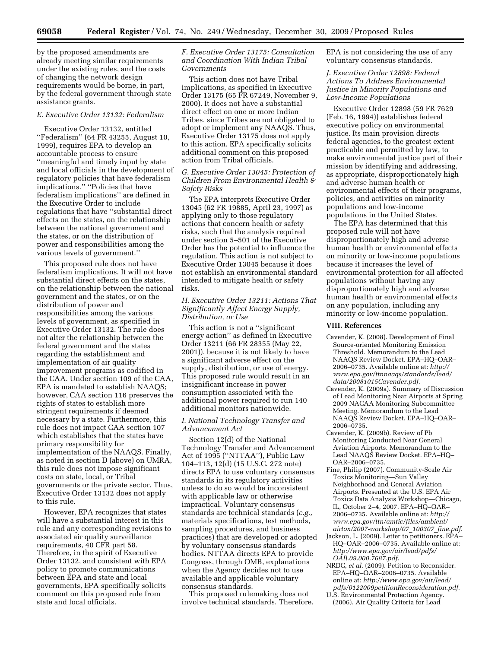by the proposed amendments are already meeting similar requirements under the existing rules, and the costs of changing the network design requirements would be borne, in part, by the federal government through state assistance grants.

#### *E. Executive Order 13132: Federalism*

Executive Order 13132, entitled ''Federalism'' (64 FR 43255, August 10, 1999), requires EPA to develop an accountable process to ensure ''meaningful and timely input by state and local officials in the development of regulatory policies that have federalism implications.'' ''Policies that have federalism implications'' are defined in the Executive Order to include regulations that have ''substantial direct effects on the states, on the relationship between the national government and the states, or on the distribution of power and responsibilities among the various levels of government.''

This proposed rule does not have federalism implications. It will not have substantial direct effects on the states, on the relationship between the national government and the states, or on the distribution of power and responsibilities among the various levels of government, as specified in Executive Order 13132. The rule does not alter the relationship between the federal government and the states regarding the establishment and implementation of air quality improvement programs as codified in the CAA. Under section 109 of the CAA, EPA is mandated to establish NAAQS; however, CAA section 116 preserves the rights of states to establish more stringent requirements if deemed necessary by a state. Furthermore, this rule does not impact CAA section 107 which establishes that the states have primary responsibility for implementation of the NAAQS. Finally, as noted in section D (above) on UMRA, this rule does not impose significant costs on state, local, or Tribal governments or the private sector. Thus, Executive Order 13132 does not apply to this rule.

However, EPA recognizes that states will have a substantial interest in this rule and any corresponding revisions to associated air quality surveillance requirements, 40 CFR part 58. Therefore, in the spirit of Executive Order 13132, and consistent with EPA policy to promote communications between EPA and state and local governments, EPA specifically solicits comment on this proposed rule from state and local officials.

### *F. Executive Order 13175: Consultation and Coordination With Indian Tribal Governments*

This action does not have Tribal implications, as specified in Executive Order 13175 (65 FR 67249, November 9, 2000). It does not have a substantial direct effect on one or more Indian Tribes, since Tribes are not obligated to adopt or implement any NAAQS. Thus, Executive Order 13175 does not apply to this action. EPA specifically solicits additional comment on this proposed action from Tribal officials.

## *G. Executive Order 13045: Protection of Children From Environmental Health & Safety Risks*

The EPA interprets Executive Order 13045 (62 FR 19885, April 23, 1997) as applying only to those regulatory actions that concern health or safety risks, such that the analysis required under section 5–501 of the Executive Order has the potential to influence the regulation. This action is not subject to Executive Order 13045 because it does not establish an environmental standard intended to mitigate health or safety risks.

### *H. Executive Order 13211: Actions That Significantly Affect Energy Supply, Distribution, or Use*

This action is not a ''significant energy action'' as defined in Executive Order 13211 (66 FR 28355 (May 22, 2001)), because it is not likely to have a significant adverse effect on the supply, distribution, or use of energy. This proposed rule would result in an insignificant increase in power consumption associated with the additional power required to run 140 additional monitors nationwide.

### *I. National Technology Transfer and Advancement Act*

Section 12(d) of the National Technology Transfer and Advancement Act of 1995 (''NTTAA''), Public Law 104–113, 12(d) (15 U.S.C. 272 note) directs EPA to use voluntary consensus standards in its regulatory activities unless to do so would be inconsistent with applicable law or otherwise impractical. Voluntary consensus standards are technical standards (*e.g.,*  materials specifications, test methods, sampling procedures, and business practices) that are developed or adopted by voluntary consensus standards bodies. NTTAA directs EPA to provide Congress, through OMB, explanations when the Agency decides not to use available and applicable voluntary consensus standards.

This proposed rulemaking does not involve technical standards. Therefore, EPA is not considering the use of any voluntary consensus standards.

## *J. Executive Order 12898: Federal Actions To Address Environmental Justice in Minority Populations and Low-Income Populations*

Executive Order 12898 (59 FR 7629 (Feb. 16, 1994)) establishes federal executive policy on environmental justice. Its main provision directs federal agencies, to the greatest extent practicable and permitted by law, to make environmental justice part of their mission by identifying and addressing, as appropriate, disproportionately high and adverse human health or environmental effects of their programs, policies, and activities on minority populations and low-income populations in the United States.

The EPA has determined that this proposed rule will not have disproportionately high and adverse human health or environmental effects on minority or low-income populations because it increases the level of environmental protection for all affected populations without having any disproportionately high and adverse human health or environmental effects on any population, including any minority or low-income population.

### **VIII. References**

- Cavender, K. (2008). Development of Final Source-oriented Monitoring Emission Threshold. Memorandum to the Lead NAAQS Review Docket. EPA–HQ–OAR– 2006–0735. Available online at: *http:// www.epa.gov/ttnnaaqs/standards/lead/ data/20081015Cavender.pdf*.
- Cavender, K. (2009a). Summary of Discussion of Lead Monitoring Near Airports at Spring 2009 NACAA Monitoring Subcommittee Meeting. Memorandum to the Lead NAAQS Review Docket. EPA–HQ–OAR– 2006–0735.
- Cavender, K. (2009b). Review of Pb Monitoring Conducted Near General Aviation Airports. Memorandum to the Lead NAAQS Review Docket. EPA–HQ– OAR–2006–0735.
- Fine, Philip (2007). Community-Scale Air Toxics Monitoring—Sun Valley Neighborhood and General Aviation Airports. Presented at the U.S. EPA Air Toxics Data Analysis Workshop—Chicago, IL, October 2–4, 2007. EPA–HQ–OAR– 2006–0735. Available online at: *http:// www.epa.gov/ttn/amtic/files/ambient/ airtox/2007-workshop/07*\_*100307*\_*fine.pdf*.
- Jackson, L. (2009). Letter to petitioners. EPA-HQ–OAR–2006–0735. Available online at: *http://www.epa.gov/air/lead/pdfs/ OAR.09.000.7687.pdf*.
- NRDC, *et al.* (2009). Petition to Reconsider. EPA–HQ–OAR–2006–0735. Available online at: *http://www.epa.gov/air/lead/ pdfs/0122009petitionReconsideration.pdf*.
- U.S. Environmental Protection Agency. (2006). Air Quality Criteria for Lead